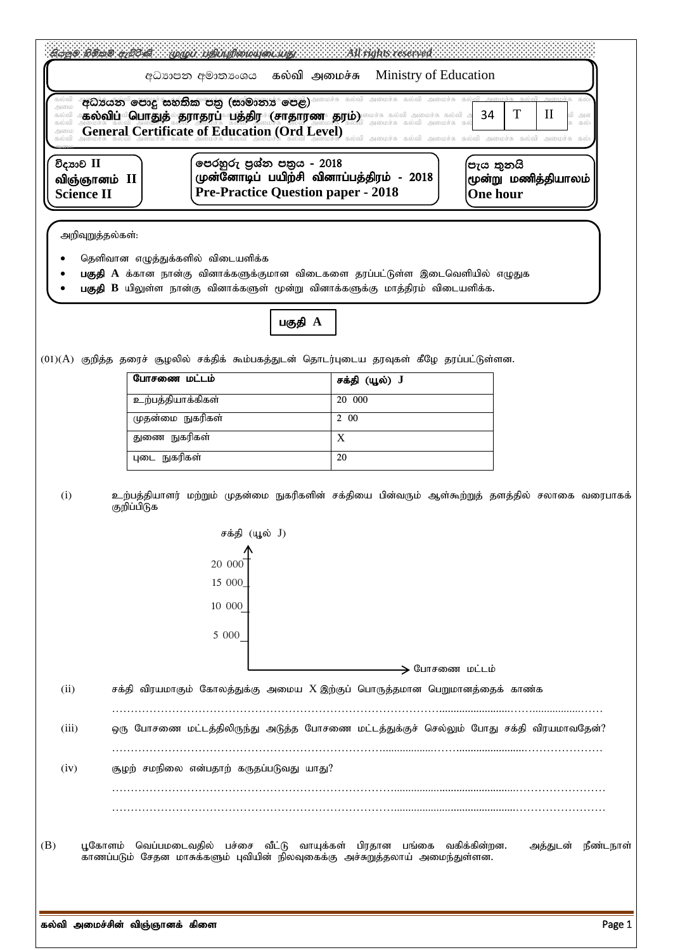|                                                                                                                                                                                                                         | Sage Bead and a part upon the unit was a limit of the reserved.                                                                                                                                                                                                                                                                                                                                                                                                              |                                                                                         |  |  |
|-------------------------------------------------------------------------------------------------------------------------------------------------------------------------------------------------------------------------|------------------------------------------------------------------------------------------------------------------------------------------------------------------------------------------------------------------------------------------------------------------------------------------------------------------------------------------------------------------------------------------------------------------------------------------------------------------------------|-----------------------------------------------------------------------------------------|--|--|
| கல்வி அமைச்சு Ministry of Education<br>අධාාපන අමාතාංශය                                                                                                                                                                  |                                                                                                                                                                                                                                                                                                                                                                                                                                                                              |                                                                                         |  |  |
| அமை<br>கல்வி<br>கல்வி<br>அமை<br>கல்வி                                                                                                                                                                                   | <b>අධායන මොදු සහතික පතු (සාමානා පෙළ)</b> அனமச்சு கல்வி அமைச்சு கல்வி அமைச்சு கூ<br>$\mathbf{I}$<br>T<br>34<br>ூக்ல்விப் விளாதுத்் தூராதரப் - பத்திர <sup>ு</sup> (சாதாரண் தரம்) மைச்சு கல்வி அமைச்சு கல்வி அமைச்சு கல்வி அமைச்சு கல்வி அ<br>அமைச்சு கல்வி அமைச்சு கல்வு அமைச்சு கல்வு அமைச்சு கலவு அமைச்சு கலவி அமைச்சு கல்வி அமைச்சு கல்<br>அன<br>கல்<br><b>General Certificate of Education (Ord Level)</b><br>கல்வி அமைச்சு கல்வி அமைச்சு கல்வி அமைச்சு கல்வி அமைச்சு கல் |                                                                                         |  |  |
| විදහාව II<br>පෙරහුරු පුශ්න පතුය - 2018<br>්පැය තුනයි<br>முன்னோடிப் பயிற்சி வினாப்பத்திரம் - 2018<br>மூன்று மணித்தியாலம்<br>விஞ்ஞானம் II<br><b>Pre-Practice Question paper - 2018</b><br><b>Science II</b><br>One hour   |                                                                                                                                                                                                                                                                                                                                                                                                                                                                              |                                                                                         |  |  |
| அறிவுறுத்தல்கள்:<br>தெளிவான எழுத்துக்களில் விடையளிக்க<br>பகுதி A க்கான நான்கு வினாக்களுக்குமான விடைகளை தரப்பட்டுள்ள இடைவெளியில் எழுதுக<br>பகுதி B யிலுள்ள நான்கு வினாக்களுள் மூன்று வினாக்களுக்கு மாத்திரம் விடையளிக்க. |                                                                                                                                                                                                                                                                                                                                                                                                                                                                              |                                                                                         |  |  |
|                                                                                                                                                                                                                         | பகுதி $A$                                                                                                                                                                                                                                                                                                                                                                                                                                                                    |                                                                                         |  |  |
|                                                                                                                                                                                                                         | (01)(A) குறித்த தரைச் சூழலில் சக்திக் கூம்பகத்துடன் தொடர்புடைய தரவுகள் கீழே தரப்பட்டுள்ளன.                                                                                                                                                                                                                                                                                                                                                                                   |                                                                                         |  |  |
|                                                                                                                                                                                                                         | போசணை மட்டம்                                                                                                                                                                                                                                                                                                                                                                                                                                                                 | சக்தி (யூல்) J                                                                          |  |  |
|                                                                                                                                                                                                                         | உற்பத்தியாக்கிகள்                                                                                                                                                                                                                                                                                                                                                                                                                                                            | 20 000                                                                                  |  |  |
|                                                                                                                                                                                                                         | முதன்மை நுகரிகள்                                                                                                                                                                                                                                                                                                                                                                                                                                                             | 2 00                                                                                    |  |  |
|                                                                                                                                                                                                                         | துணை நுகரிகள்                                                                                                                                                                                                                                                                                                                                                                                                                                                                | $\mathbf X$                                                                             |  |  |
|                                                                                                                                                                                                                         | புடை நுகரிகள்                                                                                                                                                                                                                                                                                                                                                                                                                                                                | 20                                                                                      |  |  |
|                                                                                                                                                                                                                         | குறிப்பிடுக<br>சக்தி (யூல் J)<br>20 OC<br>15 000<br>10 000<br>5 000                                                                                                                                                                                                                                                                                                                                                                                                          |                                                                                         |  |  |
|                                                                                                                                                                                                                         |                                                                                                                                                                                                                                                                                                                                                                                                                                                                              | $\bm{\rightarrow}$ போசணை மட்டம்                                                         |  |  |
| (ii)                                                                                                                                                                                                                    |                                                                                                                                                                                                                                                                                                                                                                                                                                                                              | சக்தி விரயமாகும் கோலத்துக்கு அமைய X இற்குப் பொருத்தமான பெறுமானத்தைக் காண்க              |  |  |
| (iii)                                                                                                                                                                                                                   |                                                                                                                                                                                                                                                                                                                                                                                                                                                                              | ஒரு போசணை மட்டத்திலிருந்து அடுத்த போசணை மட்டத்துக்குச் செல்லும் போது சக்தி விரயமாவதேன்? |  |  |
|                                                                                                                                                                                                                         |                                                                                                                                                                                                                                                                                                                                                                                                                                                                              |                                                                                         |  |  |
| (iv)                                                                                                                                                                                                                    | சூழற் சமநிலை என்பதாற் கருதப்படுவது யாது?                                                                                                                                                                                                                                                                                                                                                                                                                                     |                                                                                         |  |  |
|                                                                                                                                                                                                                         |                                                                                                                                                                                                                                                                                                                                                                                                                                                                              |                                                                                         |  |  |
|                                                                                                                                                                                                                         |                                                                                                                                                                                                                                                                                                                                                                                                                                                                              |                                                                                         |  |  |
| (B)                                                                                                                                                                                                                     | பூகோளம் வெப்பமடைவதில் பச்சை வீட்டு வாயுக்கள் பிரதான<br>காணப்படும் சேதன மாசுக்களும் புவியின் நிலவுகைக்கு அச்சுறுத்தலாய் அமைந்துள்ளன.                                                                                                                                                                                                                                                                                                                                          | பங்கை வகிக்கின்றன.<br>நீண்டநாள்<br>அத்துடன்                                             |  |  |
| கல்வி அமைச்சின் விஞ்ஞானக் கிளை<br>Page 1                                                                                                                                                                                |                                                                                                                                                                                                                                                                                                                                                                                                                                                                              |                                                                                         |  |  |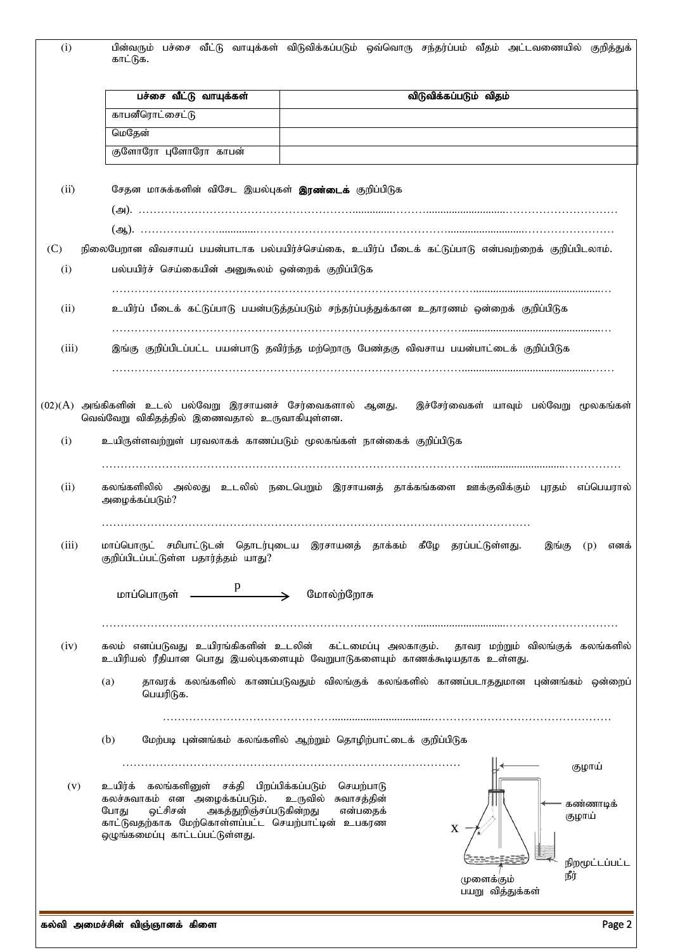| (i)   | காட்டுக.                                                                                                                                                                                                                      | பின்வரும் பச்சை வீட்டு வாயுக்கள் விடுவிக்கப்படும் ஒவ்வொரு சந்தர்ப்பம் வீதம் அட்டவணையில் குறித்துக்                                                                        |  |
|-------|-------------------------------------------------------------------------------------------------------------------------------------------------------------------------------------------------------------------------------|---------------------------------------------------------------------------------------------------------------------------------------------------------------------------|--|
|       | பச்சை வீட்டு வாயுக்கள்                                                                                                                                                                                                        | விடுவிக்கப்படும் விதம்                                                                                                                                                    |  |
|       | காபனீரொட்சைட்டு                                                                                                                                                                                                               |                                                                                                                                                                           |  |
|       | மெதேன்                                                                                                                                                                                                                        |                                                                                                                                                                           |  |
|       | குளோரோ புளோரோ காபன்                                                                                                                                                                                                           |                                                                                                                                                                           |  |
|       |                                                                                                                                                                                                                               |                                                                                                                                                                           |  |
| (ii)  | சேதன மாசுக்களின் விசேட இயல்புகள் <b>இரண்டைக்</b> குறிப்பிடுக                                                                                                                                                                  |                                                                                                                                                                           |  |
|       |                                                                                                                                                                                                                               |                                                                                                                                                                           |  |
|       |                                                                                                                                                                                                                               |                                                                                                                                                                           |  |
| (C)   |                                                                                                                                                                                                                               | நிலைபேறான விவசாயப் பயன்பாடாக பல்பயிர்ச்செய்கை, உயிர்ப் பீடைக் கட்டுப்பாடு என்பவற்றைக் குறிப்பிடலாம்.                                                                      |  |
| (i)   | பல்பயிர்ச் செய்கையின் அனுகூலம் ஒன்றைக் குறிப்பிடுக                                                                                                                                                                            |                                                                                                                                                                           |  |
|       |                                                                                                                                                                                                                               |                                                                                                                                                                           |  |
| (ii)  | உயிர்ப் பீடைக் கட்டுப்பாடு பயன்படுத்தப்படும் சந்தர்ப்பத்துக்கான உதாரணம் ஒன்றைக் குறிப்பிடுக                                                                                                                                   |                                                                                                                                                                           |  |
| (iii) |                                                                                                                                                                                                                               | இங்கு குறிப்பிடப்பட்ட பயன்பாடு தவிர்ந்த மற்றொரு பேண்தகு விவசாய பயன்பாட்டைக் குறிப்பிடுக                                                                                   |  |
|       |                                                                                                                                                                                                                               |                                                                                                                                                                           |  |
|       |                                                                                                                                                                                                                               |                                                                                                                                                                           |  |
|       | $(02)(A)$ அங்கிகளின் உடல் பல்வேறு இரசாயனச் சேர்வைகளால் ஆனது.<br>வெவ்வேறு விகிதத்தில் இணைவதால் உருவாகியுள்ளன.                                                                                                                  | இச்சேர்வைகள் யாவும் பல்வேறு மூலகங்கள்                                                                                                                                     |  |
| (i)   |                                                                                                                                                                                                                               | உயிருள்ளவற்றுள் பரவலாகக் காணப்படும் மூலகங்கள் நான்கைக் குறிப்பிடுக                                                                                                        |  |
| (ii)  | அழைக்கப்படும்?                                                                                                                                                                                                                | கலங்களிலில் அல்லது உடலில் நடைபெறும் இரசாயனத் தாக்கங்களை ஊக்குவிக்கும் புரதம் எப்பெயரால்                                                                                   |  |
| (111) | குறிப்பிடப்பட்டுள்ள பதார்த்தம் யாது?                                                                                                                                                                                          | மாப்பொருட் சமிபாட்டுடன் தொடர்புடைய இரசாயனத் தாக்கம் கீழே தரப்பட்டுள்ளது.<br>இங்கு (p)<br>எனக                                                                              |  |
|       | மாப்பொருள்                                                                                                                                                                                                                    | மோல்ற்றோசு                                                                                                                                                                |  |
|       |                                                                                                                                                                                                                               |                                                                                                                                                                           |  |
| (iv)  |                                                                                                                                                                                                                               | கலம் எனப்படுவது உயிரங்கிகளின் உடலின்  கட்டமைப்பு அலகாகும்.  தாவர மற்றும் விலங்குக் கலங்களில்<br>உயிரியல் ரீதியான பொது இயல்புகளையும் வேறுபாடுகளையும் காணக்கூடியதாக உள்ளது. |  |
|       | (a)<br>பெயரிடுக.                                                                                                                                                                                                              | தாவரக் கலங்களில் காணப்படுவதும் விலங்குக் கலங்களில் காணப்படாததுமான புன்னங்கம் ஒன்றைப்                                                                                      |  |
|       | (b)                                                                                                                                                                                                                           | மேற்படி புன்னங்கம் கலங்களில் ஆற்றும் தொழிற்பாட்டைக் குறிப்பிடுக                                                                                                           |  |
| (v)   | உயிர்க் கலங்களினுள் சக்தி பிறப்பிக்கப்படும் செயற்பாடு<br>கலச்சுவாகம் என அழைக்கப்படும்.<br>அகத்துறிஞ்சப்படுகின்றது<br>ஒட்சிசன்<br>போது<br>காட்டுவதற்காக மேற்கொள்ளப்பட்ட செயற்பாட்டின் உபகரண<br>ஒழுங்கமைப்பு காட்டப்பட்டுள்ளது. | குழாய்<br>உருவில் சுவாசத்தின்<br>கண்ணாடிக்<br>என்பதைக்<br>குழாய்<br>X.<br>நிறமூட்டப்பட்ட<br>நீர்                                                                          |  |
|       |                                                                                                                                                                                                                               | முளைக்கும்<br>பயறு வித்துக்கள்                                                                                                                                            |  |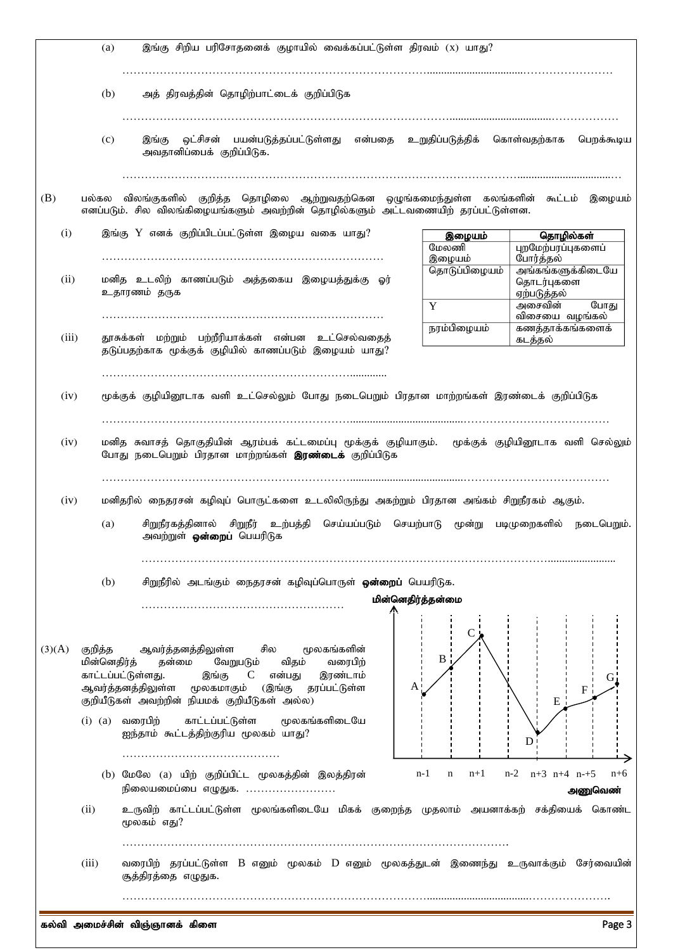|        | (a)                                                    | இங்கு சிறிய பரிசோதனைக் குழாயில் வைக்கப்பட்டுள்ள திரவம் (x) யாது?                                                                                                                                                                                         |                                     |                                                       |
|--------|--------------------------------------------------------|----------------------------------------------------------------------------------------------------------------------------------------------------------------------------------------------------------------------------------------------------------|-------------------------------------|-------------------------------------------------------|
|        | (b)                                                    | அத் திரவத்தின் தொழிற்பாட்டைக் குறிப்பிடுக                                                                                                                                                                                                                |                                     |                                                       |
|        | (c)                                                    | ஒட்சிசன் பயன்படுத்தப்பட்டுள்ளது<br>இங்கு<br>அவதானிப்பைக் குறிப்பிடுக.                                                                                                                                                                                    | என்பதை உறுதிப்படுத்திக் கொள்வதற்காக | பெறக்கூடிய                                            |
| (B)    | பல்கல                                                  | விலங்குகளில் குறித்த தொழிலை ஆற்றுவதற்கென ஒழுங்கமைந்துள்ள கலங்களின் கூட்டம் இழையம்<br>எனப்படும். சில விலங்கிழையங்களும் அவற்றின் தொழில்களும் அட்டவணையிற் தரப்பட்டுள்ளன.                                                                                    |                                     |                                                       |
| (i)    |                                                        | இங்கு Y எனக் குறிப்பிடப்பட்டுள்ள இழைய வகை யாது?                                                                                                                                                                                                          | இழையம்<br>மேலணி                     | தொழில்கள்<br>புறமேற்பரப்புகளைப்                       |
|        |                                                        |                                                                                                                                                                                                                                                          | இழையம்                              | போர்த்தல்                                             |
| (ii)   |                                                        | மனித உடலிற் காணப்படும் அத்தகைய இழையத்துக்கு ஓர்<br>உதாரணம் தருக                                                                                                                                                                                          | தொடுப்பிழையம்                       | அங்கங்களுக்கிடையே<br>தொடர்புகளை<br>ஏற்படுத்தல்        |
|        |                                                        |                                                                                                                                                                                                                                                          | Y                                   | அசைவின்<br>போது                                       |
|        |                                                        |                                                                                                                                                                                                                                                          | நரம்பிழையம்                         | விசையை வழங்கல்<br>கணத்தாக்கங்களைக்                    |
| (iii)  |                                                        | தூசுக்கள் மற்றும் பற்றீரியாக்கள் என்பன உட்செல்வதைத்                                                                                                                                                                                                      |                                     | கடத்தல்                                               |
|        | தடுப்பதற்காக மூக்குக் குழியில் காணப்படும் இழையம் யாது? |                                                                                                                                                                                                                                                          |                                     |                                                       |
| (iv)   |                                                        | மூக்குக் குழியினூடாக வளி உட்செல்லும் போது நடைபெறும் பிரதான மாற்றங்கள் இரண்டைக் குறிப்பிடுக                                                                                                                                                               |                                     |                                                       |
|        |                                                        |                                                                                                                                                                                                                                                          |                                     |                                                       |
| (iv)   |                                                        | மனித சுவாசத் தொகுதியின் ஆரம்பக் கட்டமைப்பு மூக்குக் குழியாகும். மூக்குக் குழியினூடாக வளி செல்லும்<br>போது நடைபெறும் பிரதான மாற்றங்கள் <b>இரண்டைக்</b> குறிப்பிடுக                                                                                        |                                     |                                                       |
|        |                                                        |                                                                                                                                                                                                                                                          |                                     |                                                       |
| (iv)   |                                                        | மனிதரில் நைதரசன் கழிவுப் பொருட்களை உடலிலிருந்து அகற்றும் பிரதான அங்கம் சிறுநீரகம் ஆகும்.                                                                                                                                                                 |                                     |                                                       |
|        | (a)                                                    | சிறுநீரகத்தினால் சிறுநீர் உற்பத்தி<br>அவற்றுள் <b>ஒன்றைப்</b> பெயரிடுக                                                                                                                                                                                   |                                     | செய்யப்படும் செயற்பாடு மூன்று படிமுறைகளில் நடைபெறும். |
|        |                                                        |                                                                                                                                                                                                                                                          |                                     |                                                       |
|        | (b)                                                    | சிறுநீரில் அடங்கும் நைதரசன் கழிவுப்பொருள் <b>ஒன்றைப்</b> பெயரிடுக.                                                                                                                                                                                       |                                     |                                                       |
|        |                                                        | மின்னெதிர்த்தன்மை                                                                                                                                                                                                                                        |                                     |                                                       |
| (3)(A) | குறித்த<br>மின்னெதிர்த்                                | ஆவர்த்தனத்திலுள்ள<br>சில<br>மூலகங்களின்<br>தன்மை வேறுபடும்<br>விதம்<br>வரைபிற்<br>$\mathbf{C}$<br>காட்டப்பட்டுள்ளது.<br>இங்கு<br>என்பது<br>இரண்டாம்<br>ஆவர்த்தனத்திலுள்ள மூலகமாகும் (இங்கு தரப்பட்டுள்ள<br>குறியீடுகள் அவற்றின் நியமக் குறியீடுகள் அல்ல) | B                                   | $\boldsymbol{\mathrm{F}}$<br>E                        |
|        | $(i)$ $(a)$                                            | வரைபிற் காட்டப்பட்டுள்ள மூலகங்களிடையே<br>ஐந்தாம் கூட்டத்திற்குரிய மூலகம் யாது?                                                                                                                                                                           |                                     |                                                       |
|        |                                                        |                                                                                                                                                                                                                                                          |                                     |                                                       |
|        |                                                        | (b) மேலே (a) யிற் குறிப்பிட்ட மூலகத்தின் இலத்திரன்                                                                                                                                                                                                       | $n-1$<br>$n+1$<br>$\mathbf n$       | $n-2$<br>$n+3$ $n+4$ $n-+5$<br>$n+6$                  |
|        |                                                        | நிலையமைப்பை எழுதுக.                                                                                                                                                                                                                                      |                                     | அணுவெண்                                               |
| (ii)   |                                                        | உருவிற் காட்டப்பட்டுள்ள மூலங்களிடையே மிகக் குறைந்த முதலாம் அயனாக்கற் சக்தியைக் கொண்ட<br>மூலகம் எது?                                                                                                                                                      |                                     |                                                       |
|        |                                                        |                                                                                                                                                                                                                                                          |                                     |                                                       |
| (iii)  |                                                        | வரைபிற் தரப்பட்டுள்ள B எனும் மூலகம் D எனும் மூலகத்துடன் இணைந்து உருவாக்கும் சேர்வையின்<br>சூத்திரத்தை எழுதுக.                                                                                                                                            |                                     |                                                       |
|        |                                                        |                                                                                                                                                                                                                                                          |                                     |                                                       |
|        |                                                        | கல்வி அமைச்சின் விஞ்ஞானக் கிளை                                                                                                                                                                                                                           |                                     | Page 3                                                |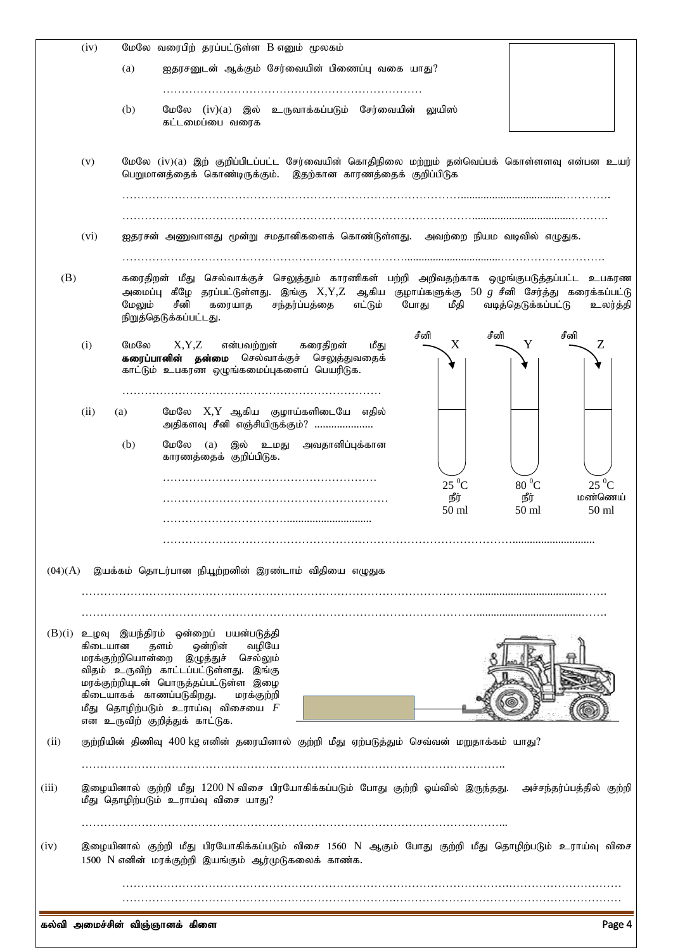|       | (iv)                                                                                                                                                |        | மேலே வரைபிற் தரப்பட்டுள்ள B எனும் மூலகம்                                                                                                                                                                                                                                                                                   |
|-------|-----------------------------------------------------------------------------------------------------------------------------------------------------|--------|----------------------------------------------------------------------------------------------------------------------------------------------------------------------------------------------------------------------------------------------------------------------------------------------------------------------------|
|       |                                                                                                                                                     | (a)    | ஐதரசனுடன் ஆக்கும் சேர்வையின் பிணைப்பு வகை யாது?                                                                                                                                                                                                                                                                            |
|       |                                                                                                                                                     | (b)    | .<br>மேலே (iv)(a) இல் உருவாக்கப்படும் சேர்வையின் லுயிஸ்<br>கட்டமைப்பை வரைக                                                                                                                                                                                                                                                 |
|       | (v)                                                                                                                                                 |        | மேலே (iv)(a) இற் குறிப்பிடப்பட்ட சேர்வையின் கொதிநிலை மற்றும் தன்வெப்பக் கொள்ளளவு என்பன உயர்<br>பெறுமானத்தைக் கொண்டிருக்கும். இதற்கான காரணத்தைக் குறிப்பிடுக                                                                                                                                                                |
|       | (vi)                                                                                                                                                |        | ஐதரசன் அணுவானது மூன்று சமதானிகளைக் கொண்டுள்ளது.  அவற்றை நியம வடிவில் எழுதுக.                                                                                                                                                                                                                                               |
|       |                                                                                                                                                     |        |                                                                                                                                                                                                                                                                                                                            |
| (B)   |                                                                                                                                                     | மேலும் | கரைதிறன் மீது செல்வாக்குச் செலுத்தும் காரணிகள் பற்றி அறிவதற்காக ஒழுங்குபடுத்தப்பட்ட உபகரண<br>அமைப்பு கீழே தரப்பட்டுள்ளது. இங்கு $X, Y, Z$ ஆகிய குழாய்களுக்கு 50 $g$ சீனி சேர்த்து கரைக்கப்பட்டு<br>சீனி<br>சந்தர்ப்பத்தை<br>உலர்த்தி<br>கரையாத<br>எட்டும்<br>போது<br>மீதி<br>வடித்தெடுக்கப்பட்டு<br>நிறுத்தெடுக்கப்பட்டது. |
|       | (i)                                                                                                                                                 | மேலே   | சீனி<br>சீனி<br>சீனி<br>X<br>Y<br>Z<br>X, Y, Z<br>என்பவற்றுள்<br>கரைதிறன்<br>மீது<br>கரைப்பானின் தன்மை செல்வாக்குச் செலுத்துவதைக்<br>காட்டும் உபகரண ஒழுங்கமைப்புகளைப் பெயரிடுக.                                                                                                                                            |
|       | (ii)                                                                                                                                                | (a)    | மேலே X,Y ஆகிய குழாய்களிடையே எதில்<br>அதிகளவு சீனி எஞ்சியிருக்கும்?                                                                                                                                                                                                                                                         |
|       |                                                                                                                                                     | (b)    | மேலே<br>(a) இல் உமது அவதானிப்புக்கான<br>காரணத்தைக் குறிப்பிடுக.                                                                                                                                                                                                                                                            |
|       |                                                                                                                                                     |        | $25\,^0$ C<br>$80\,^0\text{C}$<br>$25\,^0C$                                                                                                                                                                                                                                                                                |
|       |                                                                                                                                                     |        | மண்ணெய்<br>நீர்<br>நீர்<br>50 <sub>ml</sub><br>$50 \text{ ml}$<br>50 <sub>ml</sub>                                                                                                                                                                                                                                         |
|       |                                                                                                                                                     |        | $(04)(A)$ இயக்கம் தொடர்பான நியூற்றனின் இரண்டாம் விதியை எழுதுக                                                                                                                                                                                                                                                              |
|       | கிடையான                                                                                                                                             |        | $(B)(i)$ உழவு இயந்திரம் ஒன்றைப் பயன்படுத்தி<br>தளம் ஒன்றின்<br>வழியே<br>மரக்குற்றியொன்றை இழுத்துச் செல்லும்<br>விதம் உருவிற் காட்டப்பட்டுள்ளது. இங்கு<br>மரக்குற்றியுடன் பொருத்தப்பட்டுள்ள இழை<br>கிடையாகக் காணப்படுகிறது.<br>மரக்குற்றி<br>மீது தொழிற்படும் உராய்வு விசையை $F$                                            |
| (ii)  | என உருவிற் குறித்துக் காட்டுக.<br>குற்றியின் திணிவு 400 kg எனின் தரையினால் குற்றி மீது ஏற்படுத்தும் செவ்வன் மறுதாக்கம் யாது?                        |        |                                                                                                                                                                                                                                                                                                                            |
| (iii) | இழையினால் குற்றி மீது 1200 N விசை பிரயோகிக்கப்படும் போது குற்றி ஓய்வில் இருந்தது.  அச்சந்தர்ப்பத்தில் குற்றி<br>மீது தொழிற்படும் உராய்வு விசை யாது? |        |                                                                                                                                                                                                                                                                                                                            |
| (iv)  |                                                                                                                                                     |        | இழையினால் குற்றி மீது பிரயோகிக்கப்படும் விசை 1560 N ஆகும் போது குற்றி மீது தொழிற்படும் உராய்வு விசை                                                                                                                                                                                                                        |
|       |                                                                                                                                                     |        | 1500 N எனின் மரக்குற்றி இயங்கும் ஆர்முடுகலைக் காண்க.                                                                                                                                                                                                                                                                       |
|       |                                                                                                                                                     |        |                                                                                                                                                                                                                                                                                                                            |
|       |                                                                                                                                                     |        | கல்வி அமைச்சின் விஞ்ஞானக் கிளை<br>Page 4                                                                                                                                                                                                                                                                                   |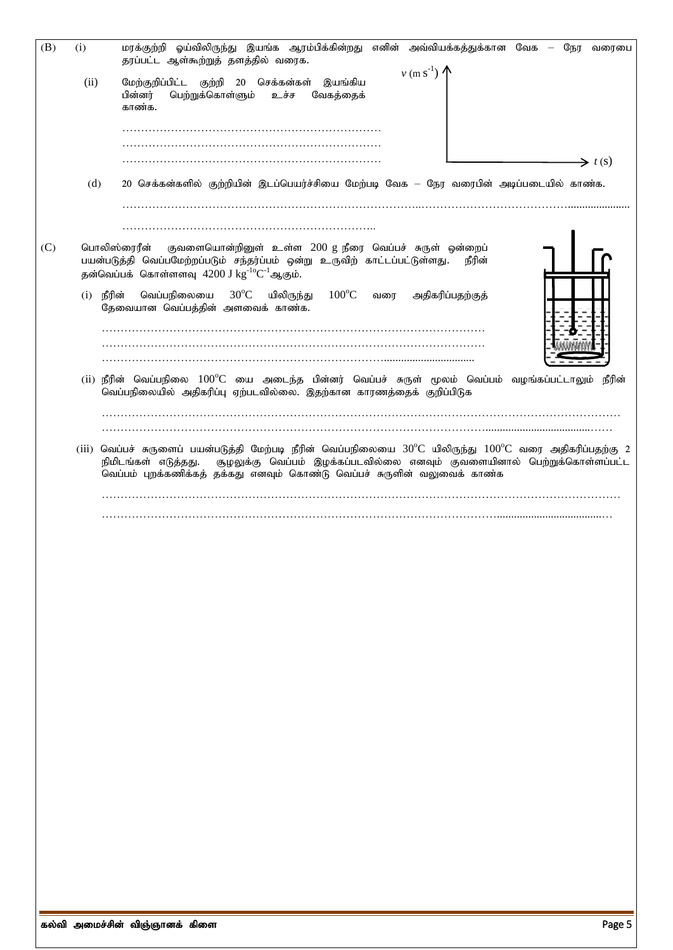| (B) | (i)  | மரக்குற்றி ஓய்விலிருந்து இயங்க ஆரம்பிக்கின்றது எனின் அவ்வியக்கத்துக்கான வேக — நேர<br>வரைபை<br>தரப்பட்ட ஆள்கூற்றுத் தளத்தில் வரைக.                                                                                                                                                                             |
|-----|------|---------------------------------------------------------------------------------------------------------------------------------------------------------------------------------------------------------------------------------------------------------------------------------------------------------------|
|     | (ii) | $v$ (m s <sup>-1</sup> ) $\uparrow$<br>மேற்குறிப்பிட்ட குற்றி 20 செக்கன்கள் இயங்கிய<br>பின்னர்<br>பெற்றுக்கொள்ளும்<br>வேகத்தைக்<br>உச்ச<br>காண்க.                                                                                                                                                             |
|     |      | $\Rightarrow t(s)$                                                                                                                                                                                                                                                                                            |
|     | (d)  | 20 செக்கன்களில் குற்றியின் இடப்பெயர்ச்சியை மேற்படி வேக — நேர வரைபின் அடிப்படையில் காண்க.                                                                                                                                                                                                                      |
|     |      |                                                                                                                                                                                                                                                                                                               |
|     |      |                                                                                                                                                                                                                                                                                                               |
| (C) |      | குவளையொன்றினுள் உள்ள 200 g நீரை வெப்பச் சுருள் ஒன்றைப்<br>பொலிஸ்ரைரீன்<br>பயன்படுத்தி வெப்பமேற்றப்படும் சந்தர்ப்பம் ஒன்று உருவிற் காட்டப்பட்டுள்ளது.<br>நீரின்<br>தன்வெப்பக் கொள்ளளவு $4200$ J $\text{kg}^{-10}\text{C}^{-1}$ ஆகும்.                                                                          |
|     |      | யிலிருந்து $100^{\rm o} \rm C$<br>$(i)$ நீரின்<br>வெப்பநிலையை<br>$30^{\circ}$ C<br>அதிகரிப்பதற்குத்<br>வரை<br>தேவையான வெப்பத்தின் அளவைக் காண்க.                                                                                                                                                               |
|     |      |                                                                                                                                                                                                                                                                                                               |
|     |      | (ii) நீரின் வெப்பநிலை $100^{\circ}\text{C}$ யை அடைந்த பின்னர் வெப்பச் சுருள் மூலம் வெப்பம் வழங்கப்பட்டாலும்<br>நீரின்<br>வெப்பநிலையில் அதிகரிப்பு ஏற்படவில்லை. இதற்கான காரணத்தைக் குறிப்பிடுக                                                                                                                 |
|     |      |                                                                                                                                                                                                                                                                                                               |
|     |      | (iii) வெப்பச் சுருளைப் பயன்படுத்தி மேற்படி நீரின் வெப்பநிலையை $30^{\circ}$ C யிலிருந்து $100^{\circ}$ C வரை அதிகரிப்பதற்கு 2<br>சூழலுக்கு வெப்பம் இழக்கப்படவில்லை எனவும் குவளையினால் பெற்றுக்கொள்ளப்பட்ட<br>நிமிடங்கள் எடுத்தது.<br>வெப்பம் புறக்கணிக்கத் தக்கது எனவும் கொண்டு வெப்பச் சுருளின் வலுவைக் காண்க |
|     |      |                                                                                                                                                                                                                                                                                                               |
|     |      |                                                                                                                                                                                                                                                                                                               |
|     |      |                                                                                                                                                                                                                                                                                                               |
|     |      |                                                                                                                                                                                                                                                                                                               |
|     |      |                                                                                                                                                                                                                                                                                                               |
|     |      |                                                                                                                                                                                                                                                                                                               |
|     |      |                                                                                                                                                                                                                                                                                                               |
|     |      |                                                                                                                                                                                                                                                                                                               |
|     |      |                                                                                                                                                                                                                                                                                                               |
|     |      |                                                                                                                                                                                                                                                                                                               |
|     |      |                                                                                                                                                                                                                                                                                                               |
|     |      |                                                                                                                                                                                                                                                                                                               |
|     |      |                                                                                                                                                                                                                                                                                                               |
|     |      |                                                                                                                                                                                                                                                                                                               |
|     |      |                                                                                                                                                                                                                                                                                                               |
|     |      |                                                                                                                                                                                                                                                                                                               |
|     |      |                                                                                                                                                                                                                                                                                                               |
|     |      |                                                                                                                                                                                                                                                                                                               |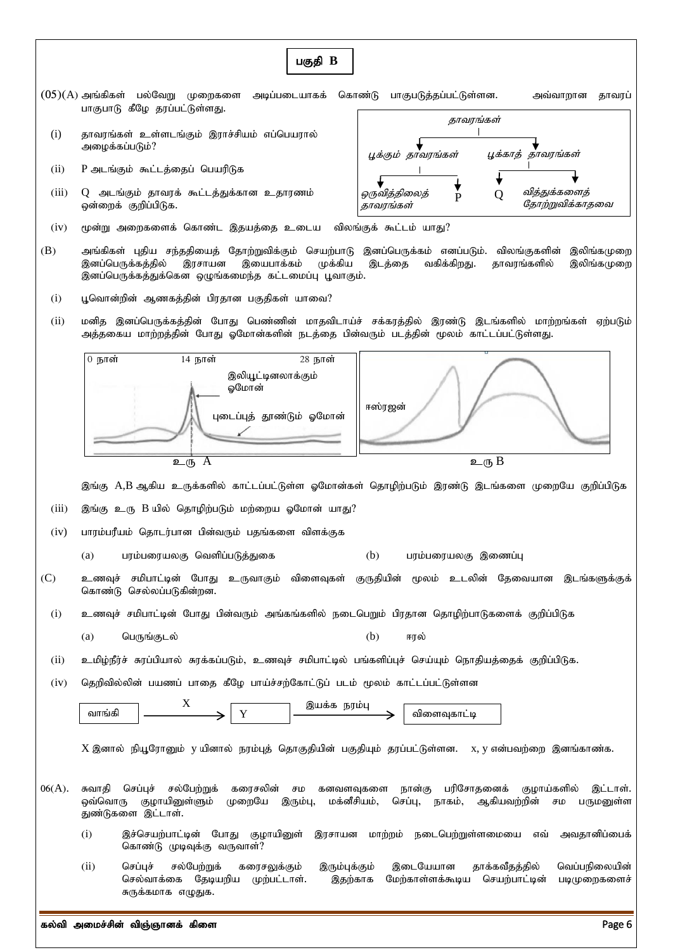|           | பகுதி B                                                                                                                                                                                                   |                                                                                                  |
|-----------|-----------------------------------------------------------------------------------------------------------------------------------------------------------------------------------------------------------|--------------------------------------------------------------------------------------------------|
|           | $(05)(A)$ அங்கிகள் பல்வேறு முறைகளை அடிப்படையாகக்<br>பாகுபாடு கீழே தரப்பட்டுள்ளது.                                                                                                                         | கொண்டு<br>பாகுபடுத்தப்பட்டுள்ளன.<br>அவ்வாறான<br>தாவரப்                                           |
| (i)       | தாவரங்கள் உள்ளடங்கும் இராச்சியம் எப்பெயரால்<br>அழைக்கப்படும்?                                                                                                                                             | தாவரங்கள்<br>பூக்காத் தாவரங்கள்                                                                  |
| (ii)      | P அடங்கும் கூட்டத்தைப் பெயரிடுக                                                                                                                                                                           | பூக்கும் தாவரங்கள்                                                                               |
| (iii)     | Q அடங்கும் தாவரக் கூட்டத்துக்கான உதாரணம்<br>ஒன்றைக் குறிப்பிடுக.                                                                                                                                          | வித்துக்களைத்<br>ஒருவித்திலைத்<br>Q<br>P<br>தோற்றுவிக்காதவை<br>தாவரங்கள்                         |
| (iv)      | மூன்று அறைகளைக் கொண்ட இதயத்தை உடைய விலங்குக் கூட்டம் யாது?                                                                                                                                                |                                                                                                  |
| (B)       | அங்கிகள் புதிய சந்ததியைத் தோற்றுவிக்கும் செயற்பாடு இனப்பெருக்கம் எனப்படும். விலங்குகளின்<br>முக்கிய<br>இனப்பெருக்கத்தில்<br>இரசாயன<br>இயைபாக்கம்<br>இனப்பெருக்கத்துக்கென ஒழுங்கமைந்த கட்டமைப்பு பூவாகும். | இலிங்கமுறை<br>வகிக்கிறது.<br>தாவரங்களில்<br>இலிங்கமுறை<br>இடத்தை                                 |
| (i)       | பூவொன்றின் ஆணகத்தின் பிரதான பகுதிகள் யாவை?                                                                                                                                                                |                                                                                                  |
| (ii)      | மனித இனப்பெருக்கத்தின் போது பெண்ணின் மாதவிடாய்ச் சக்கரத்தில் இரண்டு இடங்களில் மாற்றங்கள்<br>அத்தகைய மாற்றத்தின் போது ஓமோன்களின் நடத்தை பின்வரும் படத்தின் மூலம் காட்டப்பட்டுள்ளது.                        | ஏற்படும்                                                                                         |
|           | $0 \nightharpoonup$ நாள்<br>14 நாள்<br>28 நாள்<br>இலியூட்டினலாக்கும்<br>ஓமோன்<br>புடைப்புத் தூண்டும் ஓமோன்<br>$\overline{A}$<br>உரு                                                                       | ஈஸ்ரஜன்<br>உரு B                                                                                 |
|           | இங்கு A,B ஆகிய உருக்களில் காட்டப்பட்டுள்ள ஓமோன்கள் தொழிற்படும் இரண்டு இடங்களை முறையே குறிப்பிடுக                                                                                                          |                                                                                                  |
| (iii)     | இங்கு உரு B யில் தொழிற்படும் மற்றைய ஓமோன் யாது?                                                                                                                                                           |                                                                                                  |
| (iv)      | பாரம்பரீயம் தொடர்பான பின்வரும் பதங்களை விளக்குக                                                                                                                                                           |                                                                                                  |
|           | பரம்பரையலகு வெளிப்படுத்துகை<br>(a)                                                                                                                                                                        | (b)<br>பரம்பரையலகு இணைப்பு                                                                       |
| (C)       | உணவுச்<br>கொண்டு செல்லப்படுகின்றன.                                                                                                                                                                        | சமிபாட்டின் போது உருவாகும் விளைவுகள் குருதியின் மூலம் உடலின் தேவையான இடங்களுக்குக்               |
| (i)       | உணவுச் சமிபாட்டின் போது பின்வரும் அங்கங்களில் நடைபெறும் பிரதான தொழிற்பாடுகளைக் குறிப்பிடுக                                                                                                                |                                                                                                  |
|           | (a)<br>பெருங்குடல்                                                                                                                                                                                        | (b)<br>ஈரல்                                                                                      |
| (ii)      | உமிழ்நீர்ச் சுரப்பியால் சுரக்கப்படும், உணவுச் சமிபாட்டில் பங்களிப்புச் செய்யும் நொதியத்தைக் குறிப்பிடுக.                                                                                                  |                                                                                                  |
| (iv)      | தெறிவில்லின் பயணப் பாதை கீழே பாய்ச்சற்கோட்டுப் படம் மூலம் காட்டப்பட்டுள்ளன                                                                                                                                |                                                                                                  |
|           | X<br>இயக்க நரம்பு<br>வாங்கி                                                                                                                                                                               | விளைவுகாட்டி                                                                                     |
|           | $X$ இனால் நியூரோனும் y யினால் நரம்புத் தொகுதியின் பகுதியும் தரப்பட்டுள்ளன. $x, y$ என்பவற்றை இனங்காண்க.                                                                                                    |                                                                                                  |
| $06(A)$ . | சுவாதி<br>செப்புச் சல்பேற்றுக்<br>கரைசலின் சம<br>கனவளவுகளை<br>மக்னீசியம்,<br>ஒவ்வொரு<br>குழாயினுள்ளும்<br>முறையே இரும்பு,<br>துண்டுகளை இட்டாள்.                                                           | நான்கு<br>பரிசோதனைக் குழாய்களில்<br>இட்டாள்.<br>நாகம், ஆகியவற்றின்<br>செப்பு,<br>சம பருமனுள்ள    |
|           | (i)<br>இச்செயற்பாட்டின் போது குழாயினுள் இரசாயன மாற்றம் நடைபெற்றுள்ளமையை எவ்<br>கொண்டு முடிவுக்கு வருவாள்?                                                                                                 | அவதானிப்பைக்                                                                                     |
|           | (ii)<br>சல்பேற்றுக்<br>செப்புச்<br>கரைசலுக்கும்<br>இரும்புக்கும்<br>தேடியறிய முற்பட்டாள்.<br>செல்வாக்கை<br>இதற்காக<br>சுருக்கமாக எழுதுக.                                                                  | இடையேயான<br>தாக்கவீதத்தில்<br>வெப்பநிலையின்<br>மேற்காள்ளக்கூடிய<br>செயற்பாட்டின்<br>படிமுறைகளைச் |
|           | கல்வி அமைச்சின் விஞ்ஞானக் கிளை                                                                                                                                                                            | Page 6                                                                                           |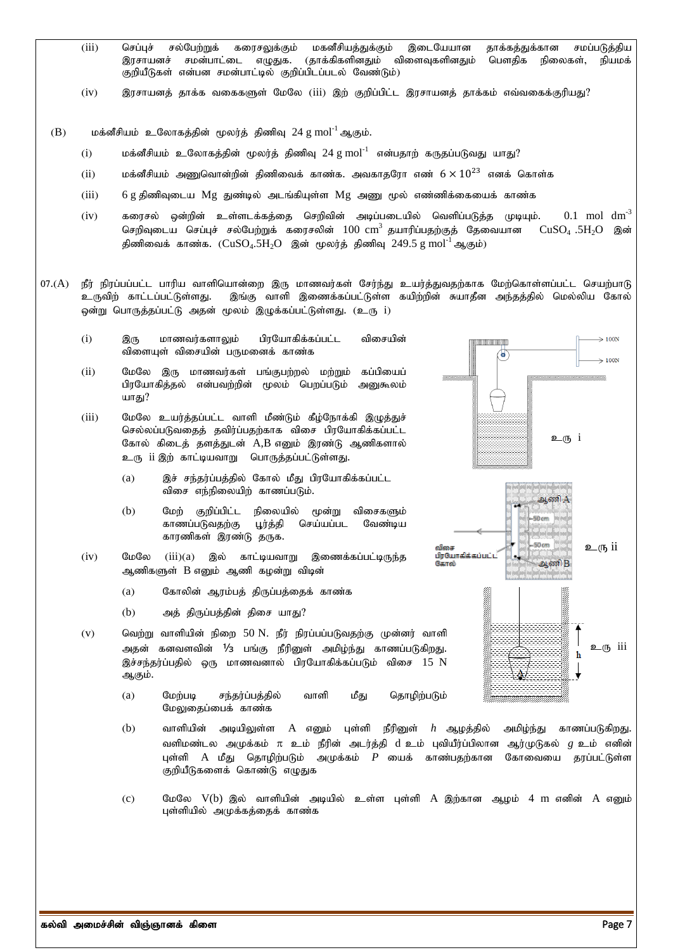- ,<br>(iii) செப்புச் சல்பேற்றுக் கரைசலுக்கும் மகனீசியத்துக்கும் இடையேயான தாக்கத்துக்கான சமப்படுத்திய இரசாயனச் சமன்பாட்டை எமுதுக. (தாக்கிகளினதும் விளைவுகளினதும் பௌதிக நிலைகள், நியமக் குறியீடுகள் என்பன சமன்பாட்டில் குறிப்பிடப்படல் வேண்டும்)
- (iv) திரசாயனத் தாக்க வகைகளுள் மேலே (iii) இற் குறிப்பிட்ட இரசாயனத் தாக்கம் எவ்வகைக்குரியது?
- $(B)$  மக்னீசியம் உலோகத்தின் மூலர்த் திணிவு  $24$  g mol $^{-1}$  ஆகும்.
	- $(i)$  மக்னீசியம் உலோகத்தின் மூலர்த் திணிவு  $24$  g mol $^{-1}$  என்பதாற் கருதப்படுவது யாது?
	- $(ii)$  மக்னீசியம் அணுவொன்றின் திணிவைக் காண்க. அவகாதரோ எண்  $6\times10^{23}$  எனக் கொள்க
	- $(iii)$  6 g திணிவுடைய  $Mg$  துண்டில் அடங்கியுள்ள  $Mg$  அணு மூல் எண்ணிக்கையைக் காண்க
	- (iv) கரைசல் ஒன்றின் உள்ளடக்கத்தை செறிவின் அடிப்படையில் வெளிப்படுத்த (முடியும்.  $0.1 \text{ mol dm}^{-3}$ செறிவடைய செப்புச் சல்பேற்றுக் கரைசலின்  $100 \text{ cm}^3$  தயாரிப்பதற்குத் தேவையான  $\text{CuSO}_4$  . $5\text{H}_2\text{O}$  இன் திணிவைக் காண்க.  $(CuSO_4.5H_2O$  இன் மூலர்த் திணிவு  $249.5$   $g \text{ mol}^{-1}$ ஆகும்)
- 07.(A) நீர் நிரப்பப்பட்ட பாரிய வாளியொன்றை இரு மாணவர்கள் சேர்ந்து உயர்த்துவதற்காக மேற்கொள்ளப்பட்ட செயற்பாடு உருவிற் காட்டப்பட்டுள்ளது. இங்கு வாளி இணைக்கப்பட்டுள்ள கயிற்றின் சுயாதீன அந்தத்தில் மெல்லிய கோல் ஒன்று பொருத்தப்பட்டு அதன் மூலம் இழுக்கப்பட்டுள்ளது. (உரு $i$ )
	- $(i)$  இரு மாணவர்களாலும் பிரயோகிக்கப்பட்ட விசையின் விளையுள் விசையின் பருமனைக் காண்க
	- (ii) பேலே இரு மாணவர்கள் பங்குபற்றல் மற்றும் கப்பியைப் பிரயோகித்தல் என்பவற்றின் மூலம் பெறப்படும் அனுகூலம் யாது?
	- $(iii)$  பேலே உயர்த்தப்பட்ட வாளி மீண்டும் கீழ்நோக்கி இழுத்துச் செல்லப்படுவதைத் தவிர்ப்பதற்காக விசை பிரயோகிக்கப்பட்ட கோல் கிடைத் தளத்துடன் A,B எனும் இரண்டு ஆணிகளால் உரு ii இற் காட்டியவாறு பொருத்தப்பட்டுள்ளது.
		- (a) இச் சந்தர்ப்பத்தில் கோல் மீது பிரயோகிக்கப்பட்ட விசை எந்நிலையிற் காணப்படும்.
		- $(b)$  பேற் குறிப்பிட்ட நிலையில் மூன்று விசைகளும் காணப்படுவதற்கு பூர்த்தி செய்யப்பட வேண்டிய காரணிகள் இரண்டு தருக.
	- $(iv)$  மேலே  $(iii)(a)$  இல் காட்டியவாறு இணைக்கப்பட்டிருந்த ஆணிகளுள் B எனும் ஆணி கழன்று விடின்
		- (a) போலின் ஆரம்பத் திருப்பத்தைக் காண்க
		- $(b)$  அத் திருப்பத்தின் திசையாது?
	- $(v)$  வெற்று வாளியின் நிறை 50 N. நீர் நிரப்பப்படுவதற்கு முன்னர் வாளி அதன் கனவளவின் ¼ பங்கு நீரினுள் அமிழ்ந்து காணப்படுகிறது. இச்சந்தர்ப்பதில் ஒரு மாணவனால் பிரயோகிக்கப்படும் விசை  $15$   $\mathrm{N}$ ஆகும்.
		- (a) மேற்படி சந்தர்ப்பத்தில் வாளி மீது தொழிற்படும் மேலுதைப்பைக் காண்க
		- (b) வாளியின் அடியிலுள்ள A எனும் புள்ளி நீரினுள் *h* ஆழத்தில் அமிழ்ந்து காணப்படுகிறது. வளிமண்டல அமுக்கம் π உம் நீரின் அடர்த்தி d உம் புவியீர்ப்பிலான ஆர்முடுகல் *g* உம் எனின் புள்ளி A மீது தொழிற்படும் அமுக்கம் *P* யைக் காண்பதற்கான கோவையை தரப்பட்டுள்ள குறியீடுகளைக் கொண்டு எழுதுக
		- $(c)$  பேலே  $V(b)$  இல் வாளியின் அடியில் உள்ள புள்ளி A இற்கான ஆழம் 4 m எனின் A எனும் புள்ளியில் அமுக்கத்தைக் காண்க



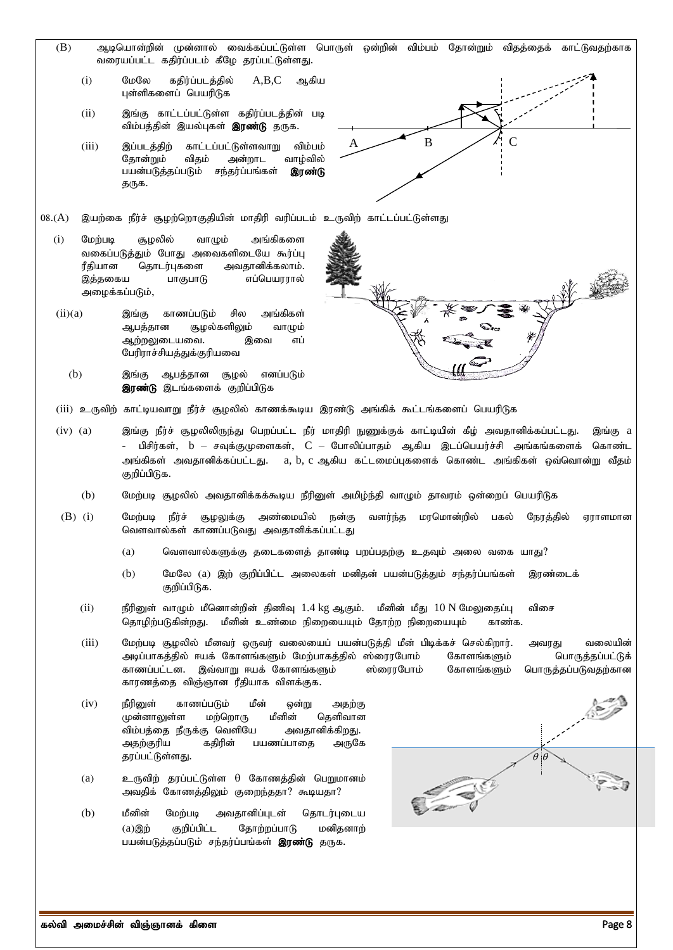- (B) Mbnahd;wpd; Kd ;dhy ; itf;fg;gl ;Ls;s nghUs; xd;wpd; tpk;gk; Njhd;Wk; tpjj ;ijf; fhl;Ltjw ;fhf வரையப்பட்ட கதிர்ப்படம் கீமே தரப்பட்டுள்ளது.
	- $(i)$  மேலே கதிர்ப்படத்தில்  $A, B, C$  ஆகிய புள்ளிகளைப் பெயரிடுக
	- $(i)$  இங்கு காட்டப்பட்டுள்ள கதிர்ப்படத்தின் படி விம்பத்தின் இயல்புகள் **இரண்டு** தருக.
	- iii) இப்படத்திற் காட்டப்பட்டுள்ளவாறு விம்பம்<br>கோன்றும் விகம் அன்றாட வாம்வில் வாம்வில் பயன்படுக்கப்படும் சந்கர்ப்பங்கள் **இாண்டு** தருக.



- 08.(A) இயற்கை நீர்ச் சூழற்றொகுதியின் மாதிரி வரிப்படம் உருவிற் காட்டப்பட்டுள்ளது
	- $(i)$  மேற்படி சூழலில் வாழும் அங்கிகளை வகைப்படுத்தும் போது அவைகளிடையே கூர்ப்பு ரீதியான தொடர்புகளை அவதானிக்கலாம்.<br>இத்தகைய பாகுபாடு எப்பெயாரால் பாகுபாடு எப்பெயரரால் அழைக்கப்படும்,
	- $(ii)(a)$  இங்கு காணப்படும் சில அங்கிகள் ஆபத்தான சூழல்களிலும் வாழும் ஆற்றலுடையவை. இவை எப் பேரிராச்சியத்துக்குரியவை
		- (b) இங்கு ஆபத்தான சூழல் எனப்படும் இரண்டு இடங்களைக் குறிப்பிடுக
	- (iii) உருவிற் காட்டியவாறு நீர்ச் சூழலில் காணக்கூடிய இரண்டு அங்கிக் கூட்டங்களைப் பெயரிடுக
	- (iv) (a) இங்கு நீர்ச் சூழலிலிருந்து பெறப்பட்ட நீர் மாதிரி நுணுக்குக் காட்டியின் கீழ் அவதானிக்கப்பட்டது. இங்கு  $a$ - பிசிர்கள், b – சவுக்குமுளைகள், C – போலிப்பாதம் ஆகிய இடப்பெயர்ச்சி அங்கங்களைக் கொண்ட அங்கிகள் அவதானிக்கப்பட்டது. a, b, c ஆகிய கட்டமைப்புகளைக் கொண்ட அங்கிகள் ஒவ்வொன்று வீதம் குறிப்பிடுக.

W

- (b) மேற்படி சூழலில் அவதானிக்கக்கூடிய நீரினுள் அமிழ்ந்தி வாழும் தாவரம் ஒன்றைப் பெயரிடுக
- (B) (i) Nkw ;gb ePu;r; #oYf;F mz;ikapy ; ed;F tsu ;e;j kunkhd;wpy; gfy ; Neuj;jpy; Vuhskhd வெளவால்கள் காணப்படுவது அவதானிக்கப்பட்டது
	- (a) வெளவால்களுக்கு தடைகளைத் தாண்டி பறப்பதற்கு உதவும் அலை வகை யாது?
	- (b) NkNy (a) ,w ; Fwpg;gpl;l miyfs; kdpjd; gad;gLj;Jk; re;ju;g;gq;fs ; ,uz ;ilf; குறிப்பிடுக.
	- $(ii)$  நீரினுள் வாழும் மீனொன்றின் திணிவு  $1.4$   $kg$  ஆகும். மீனின் மீது  $10$  N மேலுதைப்பு விசை தொழிற்படுகின்றது. மீனின் உண்மை நிறையையும் தோற்ற நிறையையும் காண்க.
	- (iii) மேற்படி சூழலில் மீனவர் ஒருவர் வலையைப் பயன்படுத்தி மீன் பிடிக்கச் செல்கிறார். அவரது வலையின்<br>அடிப்பாகத்தில் ஈயக் கோளங்களும் மேற்பாகத்தில் ஸ்ரைரபோம் கோளங்களும் பொருத்தப்பட்டுக் mbg;ghfj ;jpy ; <af; Nfhsq;fSk; Nkw ;ghfj ;jpy; ];iuuNghk; Nfhsq;fSk; nghUj ;jg;gl;Lf; காணப்பட்டன. இவ்வாறு ஈயக் கோளங்களும் ஸ்ரைரபோம் கோளங்களும் காரணத்தை விஞ்ஞான ரீதியாக விளக்குக.
	- (iv) நீரினுள் காணப்படும் மீன் ஒன்று அதற்கு<br>முன்னாலுள்ள மற்றொரு மீனின் தெளிவான முன்னாலுள்ள மற்றொரு மீனின் விம்பத்தை நீருக்கு வெளியே அவதானிக்கிறது. அதற்குரிய கதிரின் பயணப்பாதை அருகே தரப்பட்டுள்ளது.
	- (a) உருவிற் தரப்பட்டுள்ள  $\theta$  கோணத்தின் பெறுமானம் அவதிக் கோணத்திலும் குறைந்ததா? கூடியதா?
	- (b) மீனின் மேற்படி அவதானிப்புடன் தொடர்புடைய (a)இற் குறிப்பிட்ட தோற்றப்பாடு மனிதனாற் பயன்படுத்தப்படும் சந்தர்ப்பங்கள் **இரண்டு** தருக.